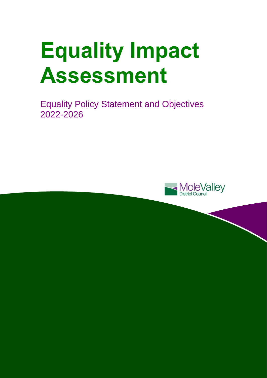# **Equality Impact Assessment**

Equality Policy Statement and Objectives 2022-2026

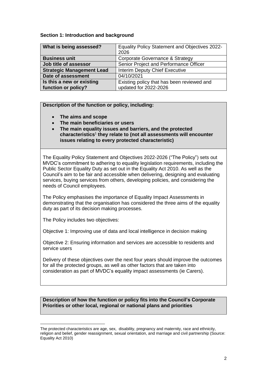# **Section 1: Introduction and background**

| What is being assessed?          | <b>Equality Policy Statement and Objectives 2022-</b> |  |  |
|----------------------------------|-------------------------------------------------------|--|--|
|                                  | 2026                                                  |  |  |
| <b>Business unit</b>             | Corporate Governance & Strategy                       |  |  |
| Job title of assessor            | Senior Project and Performance Officer                |  |  |
| <b>Strategic Management Lead</b> | Interim Deputy Chief Executive                        |  |  |
| Date of assessment               | 04/10/2021                                            |  |  |
| Is this a new or existing        | Existing policy that has been reviewed and            |  |  |
| function or policy?              | updated for 2022-2026                                 |  |  |

# **Description of the function or policy, including:**

- **The aims and scope**
- **The main beneficiaries or users**
- **The main equality issues and barriers, and the protected characteristics**<sup>1</sup> **they relate to (not all assessments will encounter issues relating to every protected characteristic)**

The Equality Policy Statement and Objectives 2022-2026 ("The Policy") sets out MVDC's commitment to adhering to equality legislation requirements, including the Public Sector Equality Duty as set out in the Equality Act 2010. As well as the Council's aim to be fair and accessible when delivering, designing and evaluating services, buying services from others, developing policies, and considering the needs of Council employees.

The Policy emphasises the importance of Equality Impact Assessments in demonstrating that the organisation has considered the three aims of the equality duty as part of its decision making processes.

The Policy includes two objectives:

l

Objective 1: Improving use of data and local intelligence in decision making

Objective 2: Ensuring information and services are accessible to residents and service users

Delivery of these objectives over the next four years should improve the outcomes for all the protected groups, as well as other factors that are taken into consideration as part of MVDC's equality impact assessments (ie Carers).

**Description of how the function or policy fits into the Council's Corporate Priorities or other local, regional or national plans and priorities**

The protected characteristics are age, sex, disability, pregnancy and maternity, race and ethnicity, religion and belief, gender reassignment, sexual orientation, and marriage and civil partnership (Source: Equality Act 2010)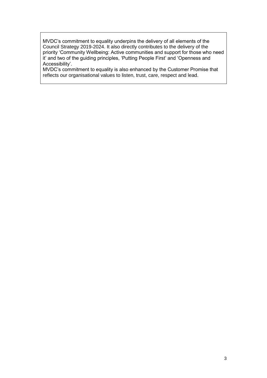MVDC's commitment to equality underpins the delivery of all elements of the Council Strategy 2019-2024. It also directly contributes to the delivery of the priority 'Community Wellbeing: Active communities and support for those who need it' and two of the guiding principles, 'Putting People First' and 'Openness and Accessibility'.

MVDC's commitment to equality is also enhanced by the Customer Promise that reflects our organisational values to listen, trust, care, respect and lead.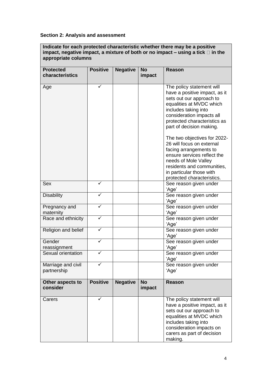# **Section 2: Analysis and assessment**

**Indicate for each protected characteristic whether there may be a positive impact, negative impact, a mixture of both or no impact – using a tick**  $\Box$  in the **appropriate columns** 

| <b>Protected</b>    | <b>Positive</b> | <b>Negative</b> | <b>No</b> | <b>Reason</b>                 |
|---------------------|-----------------|-----------------|-----------|-------------------------------|
|                     |                 |                 |           |                               |
| characteristics     |                 |                 | impact    |                               |
|                     |                 |                 |           |                               |
| Age                 |                 |                 |           | The policy statement will     |
|                     |                 |                 |           | have a positive impact, as it |
|                     |                 |                 |           | sets out our approach to      |
|                     |                 |                 |           | equalities at MVDC which      |
|                     |                 |                 |           | includes taking into          |
|                     |                 |                 |           | consideration impacts all     |
|                     |                 |                 |           | protected characteristics as  |
|                     |                 |                 |           | part of decision making.      |
|                     |                 |                 |           |                               |
|                     |                 |                 |           | The two objectives for 2022-  |
|                     |                 |                 |           | 26 will focus on external     |
|                     |                 |                 |           | facing arrangements to        |
|                     |                 |                 |           | ensure services reflect the   |
|                     |                 |                 |           | needs of Mole Valley          |
|                     |                 |                 |           | residents and communities,    |
|                     |                 |                 |           |                               |
|                     |                 |                 |           | in particular those with      |
|                     |                 |                 |           | protected characteristics.    |
| Sex                 | ✓               |                 |           | See reason given under        |
|                     |                 |                 |           | 'Age'                         |
| <b>Disability</b>   | ✓               |                 |           | See reason given under        |
|                     |                 |                 |           | 'Age'                         |
| Pregnancy and       | ✓               |                 |           | See reason given under        |
| maternity           |                 |                 |           | 'Age'                         |
| Race and ethnicity  | ✓               |                 |           | See reason given under        |
|                     |                 |                 |           | 'Age'                         |
| Religion and belief | ✓               |                 |           | See reason given under        |
|                     |                 |                 |           | 'Age'                         |
| Gender              | ✓               |                 |           | See reason given under        |
| reassignment        |                 |                 |           | 'Age'                         |
| Sexual orientation  | ✓               |                 |           | See reason given under        |
|                     |                 |                 |           | 'Age'                         |
| Marriage and civil  | ✓               |                 |           | See reason given under        |
| partnership         |                 |                 |           | 'Age'                         |
|                     |                 |                 |           |                               |
| Other aspects to    | <b>Positive</b> | <b>Negative</b> | <b>No</b> | <b>Reason</b>                 |
| consider            |                 |                 | impact    |                               |
|                     |                 |                 |           |                               |
| Carers              | ✓               |                 |           | The policy statement will     |
|                     |                 |                 |           | have a positive impact, as it |
|                     |                 |                 |           | sets out our approach to      |
|                     |                 |                 |           | equalities at MVDC which      |
|                     |                 |                 |           | includes taking into          |
|                     |                 |                 |           | consideration impacts on      |
|                     |                 |                 |           | carers as part of decision    |
|                     |                 |                 |           |                               |
|                     |                 |                 |           | making.                       |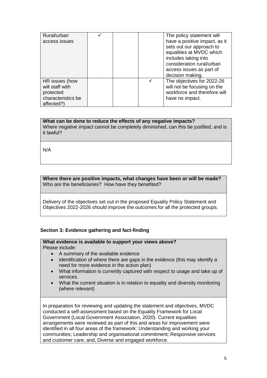| Rural/urban                                                                        |  | The policy statement will                                                                                                                                              |
|------------------------------------------------------------------------------------|--|------------------------------------------------------------------------------------------------------------------------------------------------------------------------|
| access issues                                                                      |  | have a positive impact, as it<br>sets out our approach to<br>equalities at MVDC which<br>includes taking into<br>consideration rural/urban<br>access issues as part of |
|                                                                                    |  | decision making.                                                                                                                                                       |
| HR issues (how<br>will staff with<br>protected<br>characteristics be<br>affected?) |  | The objectives for 2022-26<br>will not be focusing on the<br>workforce and therefore will<br>have no impact.                                                           |

# **What can be done to reduce the effects of any negative impacts?**

Where negative impact cannot be completely diminished, can this be justified, and is it lawful?

N/A

#### **Where there are positive impacts, what changes have been or will be made?**  Who are the beneficiaries? How have they benefited?

Delivery of the objectives set out in the proposed Equality Policy Statement and Objectives 2022-2026 should improve the outcomes for all the protected groups.

# **Section 3: Evidence gathering and fact-finding**

#### **What evidence is available to support your views above?**  Please include:

- A summary of the available evidence
- Identification of where there are gaps in the evidence (this may identify a need for more evidence in the action plan)
- What information is currently captured with respect to usage and take up of services.
- What the current situation is in relation to equality and diversity monitoring (where relevant)

In preparation for reviewing and updating the statement and objectives, MVDC conducted a self-assessment based on the Equality Framework for Local Government (Local Government Association, 2020). Current equalities arrangements were reviewed as part of this and areas for improvement were identified in all four areas of the framework: Understanding and working your communities; Leadership and organisational commitment; Responsive services and customer care; and, Diverse and engaged workforce.